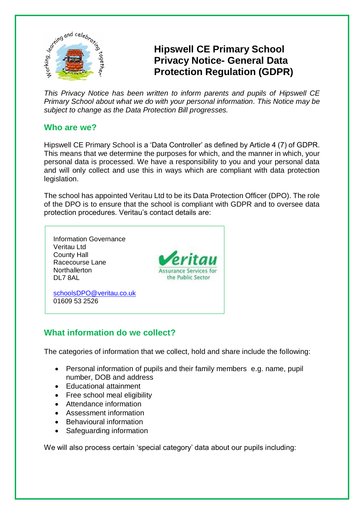

# **Hipswell CE Primary School Privacy Notice- General Data Protection Regulation (GDPR)**

*This Privacy Notice has been written to inform parents and pupils of Hipswell CE Primary School about what we do with your personal information. This Notice may be subject to change as the Data Protection Bill progresses.*

# **Who are we?**

Hipswell CE Primary School is a 'Data Controller' as defined by Article 4 (7) of GDPR. This means that we determine the purposes for which, and the manner in which, your personal data is processed. We have a responsibility to you and your personal data and will only collect and use this in ways which are compliant with data protection legislation.

The school has appointed Veritau Ltd to be its Data Protection Officer (DPO). The role of the DPO is to ensure that the school is compliant with GDPR and to oversee data protection procedures. Veritau's contact details are:



# **What information do we collect?**

The categories of information that we collect, hold and share include the following:

- Personal information of pupils and their family members e.g. name, pupil number, DOB and address
- Educational attainment
- Free school meal eligibility
- Attendance information
- Assessment information
- Behavioural information
- Safeguarding information

We will also process certain 'special category' data about our pupils including: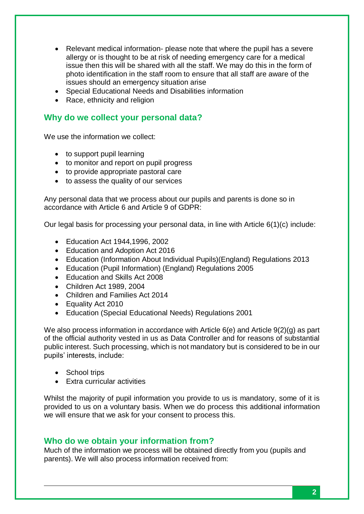- Relevant medical information- please note that where the pupil has a severe allergy or is thought to be at risk of needing emergency care for a medical issue then this will be shared with all the staff. We may do this in the form of photo identification in the staff room to ensure that all staff are aware of the issues should an emergency situation arise
- Special Educational Needs and Disabilities information
- Race, ethnicity and religion

### **Why do we collect your personal data?**

We use the information we collect:

- to support pupil learning
- to monitor and report on pupil progress
- to provide appropriate pastoral care
- to assess the quality of our services

Any personal data that we process about our pupils and parents is done so in accordance with Article 6 and Article 9 of GDPR:

Our legal basis for processing your personal data, in line with Article 6(1)(c) include:

- Education Act 1944,1996, 2002
- Education and Adoption Act 2016
- Education (Information About Individual Pupils)(England) Regulations 2013
- Education (Pupil Information) (England) Regulations 2005
- Education and Skills Act 2008
- Children Act 1989, 2004
- Children and Families Act 2014
- Equality Act 2010
- Education (Special Educational Needs) Regulations 2001

We also process information in accordance with Article 6(e) and Article 9(2)(g) as part of the official authority vested in us as Data Controller and for reasons of substantial public interest. Such processing, which is not mandatory but is considered to be in our pupils' interests, include:

- School trips
- Extra curricular activities

Whilst the majority of pupil information you provide to us is mandatory, some of it is provided to us on a voluntary basis. When we do process this additional information we will ensure that we ask for your consent to process this.

#### **Who do we obtain your information from?**

Much of the information we process will be obtained directly from you (pupils and parents). We will also process information received from: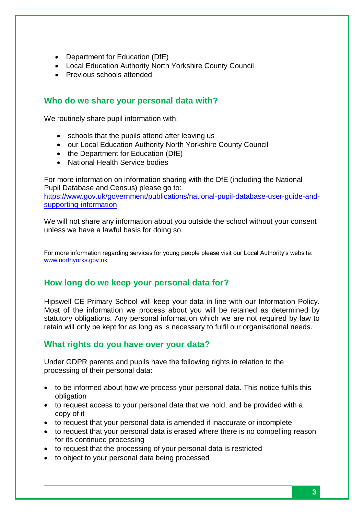- Department for Education (DfE)
- Local Education Authority North Yorkshire County Council
- Previous schools attended

# **Who do we share your personal data with?**

We routinely share pupil information with:

- schools that the pupils attend after leaving us
- our Local Education Authority North Yorkshire County Council
- the Department for Education (DfE)
- National Health Service bodies

For more information on information sharing with the DfE (including the National Pupil Database and Census) please go to: [https://www.gov.uk/government/publications/national-pupil-database-user-guide-and](https://www.gov.uk/government/publications/national-pupil-database-user-guide-and-supporting-information)[supporting-information](https://www.gov.uk/government/publications/national-pupil-database-user-guide-and-supporting-information)

We will not share any information about you outside the school without your consent unless we have a lawful basis for doing so.

For more information regarding services for young people please visit our Local Authority's website: [www.northyorks.gov.uk](http://www.northyorks.gov.uk/)

# **How long do we keep your personal data for?**

Hipswell CE Primary School will keep your data in line with our Information Policy. Most of the information we process about you will be retained as determined by statutory obligations. Any personal information which we are not required by law to retain will only be kept for as long as is necessary to fulfil our organisational needs.

# **What rights do you have over your data?**

Under GDPR parents and pupils have the following rights in relation to the processing of their personal data:

- to be informed about how we process your personal data. This notice fulfils this obligation
- to request access to your personal data that we hold, and be provided with a copy of it
- to request that your personal data is amended if inaccurate or incomplete
- to request that your personal data is erased where there is no compelling reason for its continued processing
- to request that the processing of your personal data is restricted
- to object to your personal data being processed